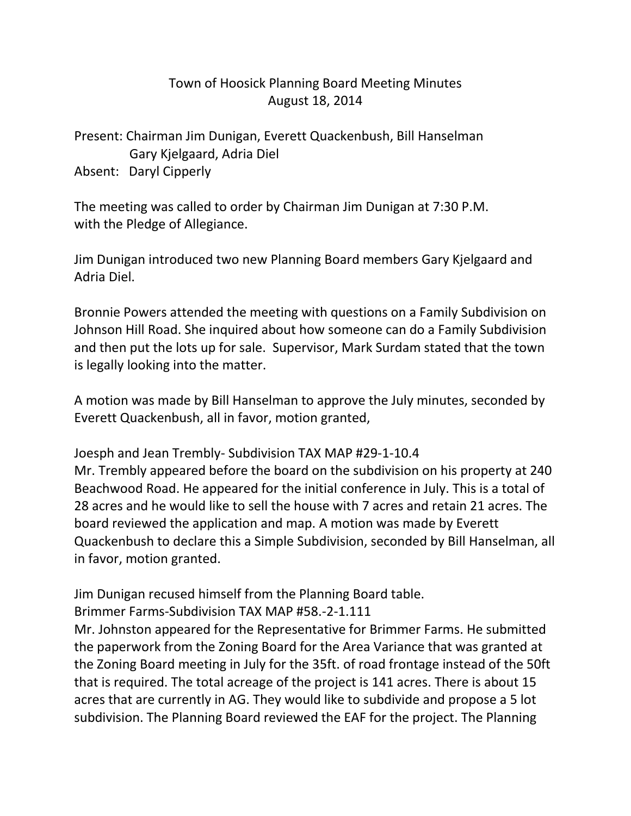## Town of Hoosick Planning Board Meeting Minutes August 18, 2014

Present: Chairman Jim Dunigan, Everett Quackenbush, Bill Hanselman Gary Kjelgaard, Adria Diel Absent: Daryl Cipperly

The meeting was called to order by Chairman Jim Dunigan at 7:30 P.M. with the Pledge of Allegiance.

Jim Dunigan introduced two new Planning Board members Gary Kjelgaard and Adria Diel.

Bronnie Powers attended the meeting with questions on a Family Subdivision on Johnson Hill Road. She inquired about how someone can do a Family Subdivision and then put the lots up for sale. Supervisor, Mark Surdam stated that the town is legally looking into the matter.

A motion was made by Bill Hanselman to approve the July minutes, seconded by Everett Quackenbush, all in favor, motion granted,

Joesph and Jean Trembly- Subdivision TAX MAP #29-1-10.4

Mr. Trembly appeared before the board on the subdivision on his property at 240 Beachwood Road. He appeared for the initial conference in July. This is a total of 28 acres and he would like to sell the house with 7 acres and retain 21 acres. The board reviewed the application and map. A motion was made by Everett Quackenbush to declare this a Simple Subdivision, seconded by Bill Hanselman, all in favor, motion granted.

Jim Dunigan recused himself from the Planning Board table.

Brimmer Farms-Subdivision TAX MAP #58.-2-1.111

Mr. Johnston appeared for the Representative for Brimmer Farms. He submitted the paperwork from the Zoning Board for the Area Variance that was granted at the Zoning Board meeting in July for the 35ft. of road frontage instead of the 50ft that is required. The total acreage of the project is 141 acres. There is about 15 acres that are currently in AG. They would like to subdivide and propose a 5 lot subdivision. The Planning Board reviewed the EAF for the project. The Planning